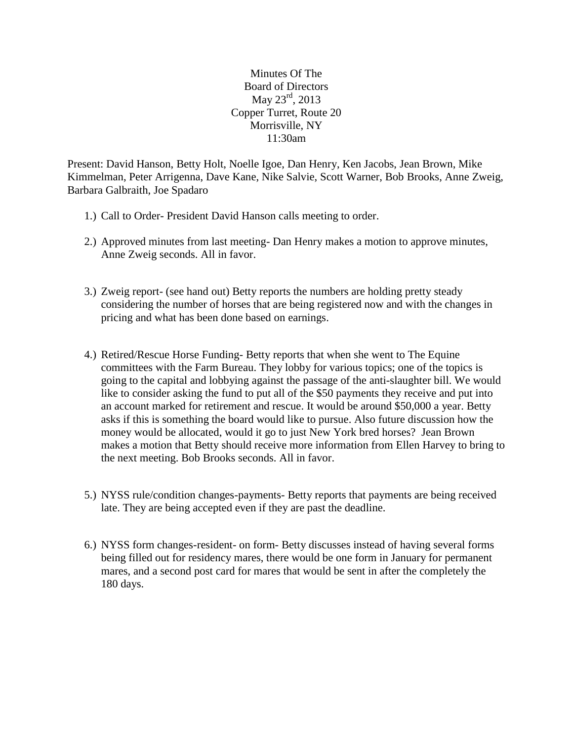Minutes Of The Board of Directors May 23<sup>rd</sup>, 2013 Copper Turret, Route 20 Morrisville, NY 11:30am

Present: David Hanson, Betty Holt, Noelle Igoe, Dan Henry, Ken Jacobs, Jean Brown, Mike Kimmelman, Peter Arrigenna, Dave Kane, Nike Salvie, Scott Warner, Bob Brooks, Anne Zweig, Barbara Galbraith, Joe Spadaro

- 1.) Call to Order- President David Hanson calls meeting to order.
- 2.) Approved minutes from last meeting- Dan Henry makes a motion to approve minutes, Anne Zweig seconds. All in favor.
- 3.) Zweig report- (see hand out) Betty reports the numbers are holding pretty steady considering the number of horses that are being registered now and with the changes in pricing and what has been done based on earnings.
- 4.) Retired/Rescue Horse Funding- Betty reports that when she went to The Equine committees with the Farm Bureau. They lobby for various topics; one of the topics is going to the capital and lobbying against the passage of the anti-slaughter bill. We would like to consider asking the fund to put all of the \$50 payments they receive and put into an account marked for retirement and rescue. It would be around \$50,000 a year. Betty asks if this is something the board would like to pursue. Also future discussion how the money would be allocated, would it go to just New York bred horses? Jean Brown makes a motion that Betty should receive more information from Ellen Harvey to bring to the next meeting. Bob Brooks seconds. All in favor.
- 5.) NYSS rule/condition changes-payments- Betty reports that payments are being received late. They are being accepted even if they are past the deadline.
- 6.) NYSS form changes-resident- on form- Betty discusses instead of having several forms being filled out for residency mares, there would be one form in January for permanent mares, and a second post card for mares that would be sent in after the completely the 180 days.